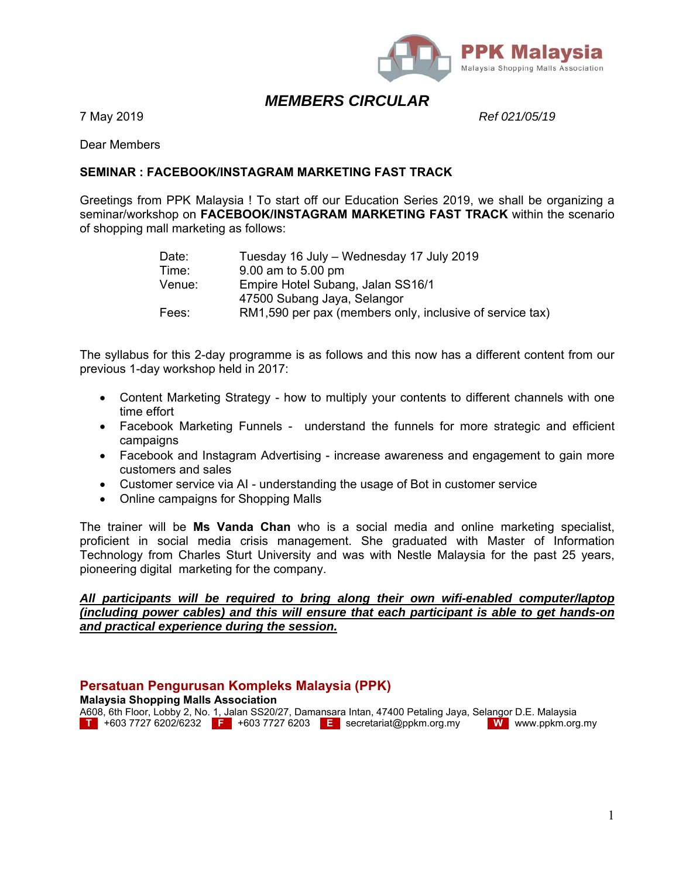

# *MEMBERS CIRCULAR*

7 May 2019 *Ref 021/05/19*

Dear Members

### **SEMINAR : FACEBOOK/INSTAGRAM MARKETING FAST TRACK**

Greetings from PPK Malaysia ! To start off our Education Series 2019, we shall be organizing a seminar/workshop on **FACEBOOK/INSTAGRAM MARKETING FAST TRACK** within the scenario of shopping mall marketing as follows:

| Date:  | Tuesday 16 July - Wednesday 17 July 2019                 |
|--------|----------------------------------------------------------|
| Time:  | 9.00 am to 5.00 pm                                       |
| Venue: | Empire Hotel Subang, Jalan SS16/1                        |
|        | 47500 Subang Jaya, Selangor                              |
| Fees:  | RM1,590 per pax (members only, inclusive of service tax) |

The syllabus for this 2-day programme is as follows and this now has a different content from our previous 1-day workshop held in 2017:

- Content Marketing Strategy how to multiply your contents to different channels with one time effort
- Facebook Marketing Funnels understand the funnels for more strategic and efficient campaigns
- Facebook and Instagram Advertising increase awareness and engagement to gain more customers and sales
- Customer service via AI understanding the usage of Bot in customer service
- Online campaigns for Shopping Malls

The trainer will be **Ms Vanda Chan** who is a social media and online marketing specialist, proficient in social media crisis management. She graduated with Master of Information Technology from Charles Sturt University and was with Nestle Malaysia for the past 25 years, pioneering digital marketing for the company.

### *All participants will be required to bring along their own wifi-enabled computer/laptop (including power cables) and this will ensure that each participant is able to get hands-on and practical experience during the session.*

# **Persatuan Pengurusan Kompleks Malaysia (PPK)**

**Malaysia Shopping Malls Association** 

A608, 6th Floor, Lobby 2, No. 1, Jalan SS20/27, Damansara Intan, 47400 Petaling Jaya, Selangor D.E. Malaysia **T** +603 7727 6202/6232 **F** +603 7727 6203 **E** secretariat@ppkm.org.my **W** www.ppkm.org.my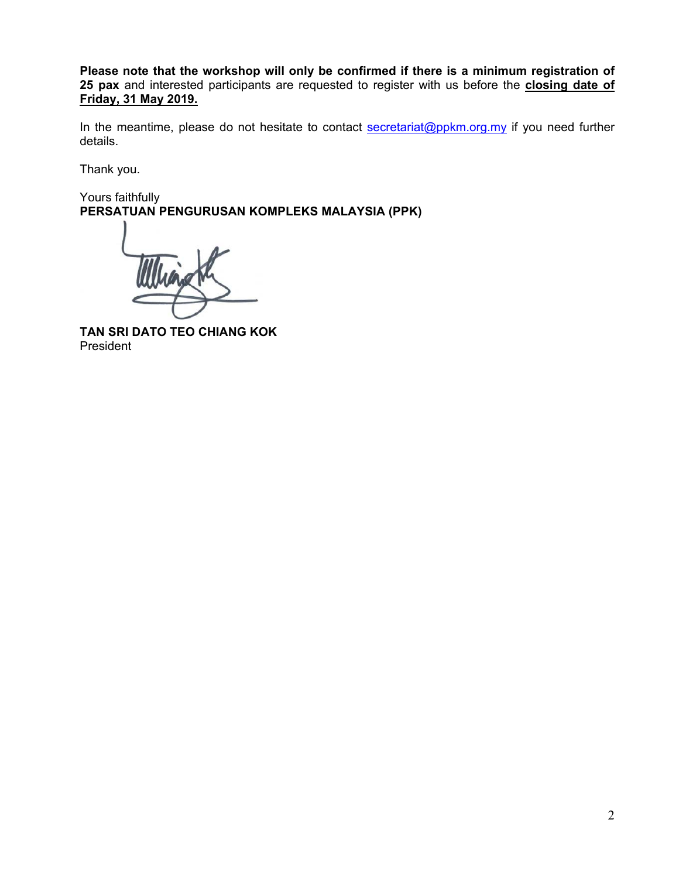**Please note that the workshop will only be confirmed if there is a minimum registration of 25 pax** and interested participants are requested to register with us before the **closing date of Friday, 31 May 2019.**

In the meantime, please do not hesitate to contact secretariat@ppkm.org.my if you need further details.

Thank you.

Yours faithfully **PERSATUAN PENGURUSAN KOMPLEKS MALAYSIA (PPK)** 

**TAN SRI DATO TEO CHIANG KOK**  President